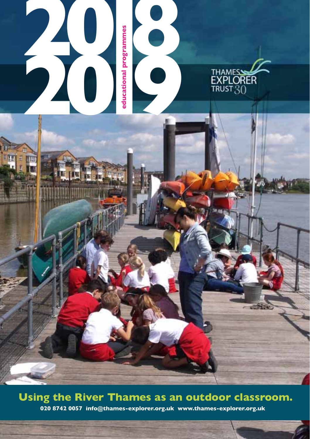

### **Using the River Thames as an outdoor classroom.**

**1**

**020 8742 0057 info@thames-explorer.org.uk www.thames-explorer.org.uk**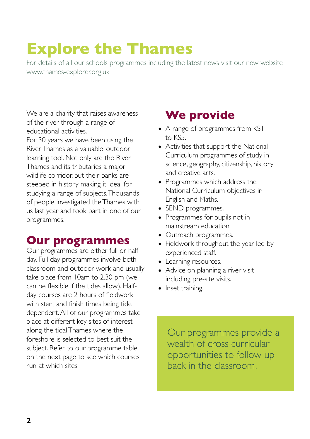# **Explore the Thames**

For details of all our schools programmes including the latest news visit our new website www.thames-explorer.org.uk

We are a charity that raises awareness of the river through a range of educational activities.

For 30 years we have been using the River Thames as a valuable, outdoor learning tool. Not only are the River Thames and its tributaries a major wildlife corridor, but their banks are steeped in history making it ideal for studying a range of subjects. Thousands of people investigated the Thames with us last year and took part in one of our programmes.

### **Our programmes**

Our programmes are either full or half day. Full day programmes involve both classroom and outdoor work and usually take place from 10am to 2.30 pm (we can be flexible if the tides allow). Halfday courses are 2 hours of fieldwork with start and finish times being tide dependent. All of our programmes take place at different key sites of interest along the tidal Thames where the foreshore is selected to best suit the subject. Refer to our programme table on the next page to see which courses run at which sites.

## **We provide**

- A range of programmes from KS1 to KS5.
- Activities that support the National Curriculum programmes of study in science, geography, citizenship, history and creative arts.
- Programmes which address the National Curriculum objectives in English and Maths.
- SEND programmes.
- Programmes for pupils not in mainstream education.
- Outreach programmes.
- Fieldwork throughout the year led by experienced staff.
- Learning resources.
- Advice on planning a river visit including pre-site visits.
- Inset training.

Our programmes provide a wealth of cross curricular opportunities to follow up back in the classroom.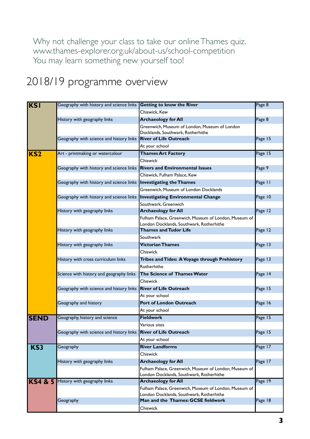Why not challenge your class to take our online Thames quiz. www.thames-explorer.org.uk/about-us/school-competition You may learn something new yourself too!

# 2018/19 programme overview

| <b>KSI</b>         | Geography with history and science links | <b>Getting to know the River</b>                                                                  | Page 8  |
|--------------------|------------------------------------------|---------------------------------------------------------------------------------------------------|---------|
|                    |                                          | Chiswick, Kew                                                                                     |         |
|                    | History with geography links             | <b>Archaeology for All</b>                                                                        | Page 8  |
|                    |                                          | Greenwich, Museum of London, Museum of London                                                     |         |
|                    |                                          | Docklands, Southwark, Rotherhithe                                                                 |         |
|                    | Geography with science and history links | <b>River of Life Outreach</b>                                                                     | Page 15 |
|                    |                                          | At your school                                                                                    |         |
| KS <sub>2</sub>    | Art - printmaking or watercolour         | <b>Thames Art Factory</b><br>Chiswick                                                             | Page 15 |
|                    |                                          |                                                                                                   |         |
|                    | Geography with history and science links | <b>Rivers and Environmental Issues</b>                                                            | Page 9  |
|                    |                                          | Chiswick, Fulham Palace, Kew                                                                      |         |
|                    | Geography with history and science links | <b>Investigating the Thames</b>                                                                   | Page II |
|                    |                                          | Greenwich, Museum of London Docklands                                                             |         |
|                    | Geography with history and science links | <b>Investigating Environmental Change</b>                                                         | Page 10 |
|                    |                                          | Southwark, Greenwich                                                                              |         |
|                    | History with geography links             | <b>Archaeology for All</b>                                                                        | Page 12 |
|                    |                                          | Fulham Palace, Greenwich, Museum of London, Museum of<br>London Docklands, Southwark, Rotherhithe |         |
|                    | History with geography links             | <b>Thames and Tudor Life</b>                                                                      | Page 12 |
|                    |                                          | Southwark                                                                                         |         |
|                    | History with geography links             | <b>Victorian Thames</b>                                                                           | Page 13 |
|                    |                                          | Chiswick                                                                                          |         |
|                    | History with cross curriculum links      | Tribes and Tides: A Voyage through Prehistory                                                     | Page 13 |
|                    |                                          | Rotherhithe                                                                                       |         |
|                    | Science with history and geography links | The Science of Thames Water                                                                       | Page 14 |
|                    |                                          | Chiswick                                                                                          |         |
|                    | Geography with science and history links | <b>River of Life Outreach</b>                                                                     | Page 15 |
|                    |                                          | At your school                                                                                    |         |
|                    | Geography and history                    | Port of London Outreach                                                                           | Page 16 |
|                    |                                          | At your school                                                                                    |         |
| <b>SEND</b>        | Geography, history and science           | <b>Fieldwork</b>                                                                                  | Page 15 |
|                    |                                          | Various sites                                                                                     |         |
|                    | Geography with science and history links | <b>River of Life Outreach</b>                                                                     | Page 15 |
|                    |                                          | At your school                                                                                    |         |
| KS3                | Geography                                | <b>River Landforms</b>                                                                            | Page 17 |
|                    |                                          | Chiswick                                                                                          |         |
|                    | History with geography links             | <b>Archaeology for All</b>                                                                        | Page 17 |
|                    |                                          | Fulham Palace, Greenwich, Museum of London, Museum of                                             |         |
|                    |                                          | London Docklands, Southwark, Rotherhithe                                                          |         |
| <b>KS4 &amp; 5</b> | History with geography links             | <b>Archaeology for All</b>                                                                        | Page 19 |
|                    |                                          | Fulham Palace, Greenwich, Museum of London, Museum of                                             |         |
|                    |                                          | London Docklands, Southwark, Rotherhithe<br>Man and the Thames: GCSE fieldwork                    | Page 18 |
|                    | Geography                                |                                                                                                   |         |
|                    |                                          | Chiswick                                                                                          |         |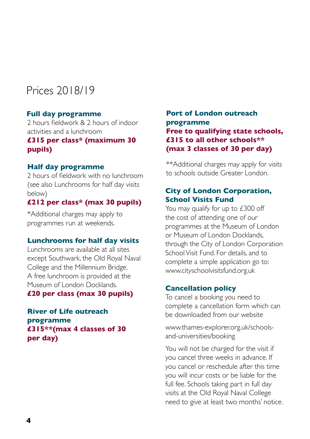# Prices 2018/19

#### **Full day programme**

2 hours fieldwork & 2 hours of indoor activities and a lunchroom

#### **£315 per class\* (maximum 30 pupils)**

#### **Half day programme**

2 hours of fieldwork with no lunchroom (see also Lunchrooms for half day visits below)

#### **£212 per class\* (max 30 pupils)**

\*Additional charges may apply to programmes run at weekends.

#### **Lunchrooms for half day visits**

Lunchrooms are available at all sites except Southwark, the Old Royal Naval College and the Millennium Bridge. A free lunchroom is provided at the Museum of London Docklands. **£20 per class (max 30 pupils)**

**River of Life outreach programme £315\*\*(max 4 classes of 30 per day)**

#### **Port of London outreach programme Free to qualifying state schools, £315 to all other schools\*\* (max 3 classes of 30 per day)**

\*\*Additional charges may apply for visits to schools outside Greater London.

#### **City of London Corporation, School Visits Fund**

You may qualify for up to £300 off the cost of attending one of our programmes at the Museum of London or Museum of London Docklands, through the City of London Corporation School Visit Fund. For details, and to complete a simple application go to: www.cityschoolvisitsfund.org.uk

#### **Cancellation policy**

To cancel a booking you need to complete a cancellation form which can be downloaded from our website

www.thames-explorer.org.uk/schoolsand-universities/booking

You will not be charged for the visit if you cancel three weeks in advance. If you cancel or reschedule after this time you will incur costs or be liable for the full fee. Schools taking part in full day visits at the Old Royal Naval College need to give at least two months' notice.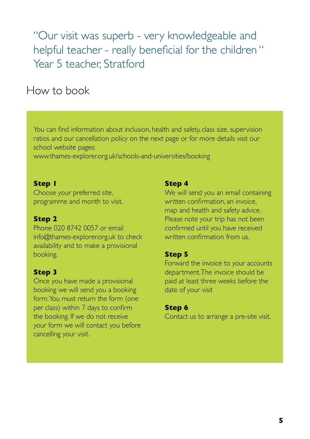"Our visit was superb - very knowledgeable and helpful teacher - really beneficial for the children " Year 5 teacher, Stratford

## How to book

You can find information about inclusion, health and safety, class size, supervision ratios and our cancellation policy on the next page or for more details visit our school website pages:

www.thames-explorer.org.uk/schools-and-universities/booking

#### **Step 1**

Choose your preferred site, programme and month to visit.

#### **Step 2**

Phone 020 8742 0057 or email info@thames-explorer.org.uk to check availability and to make a provisional booking.

#### **Step 3**

Once you have made a provisional booking we will send you a booking form. You must return the form (one per class) within 7 days to confirm the booking. If we do not receive your form we will contact you before cancelling your visit.

#### **Step 4**

We will send you an email containing written confirmation, an invoice, map and health and safety advice. Please note your trip has not been confirmed until you have received written confirmation from us.

#### **Step 5**

Forward the invoice to your accounts department. The invoice should be paid at least three weeks before the date of your visit

#### **Step 6**

Contact us to arrange a pre-site visit.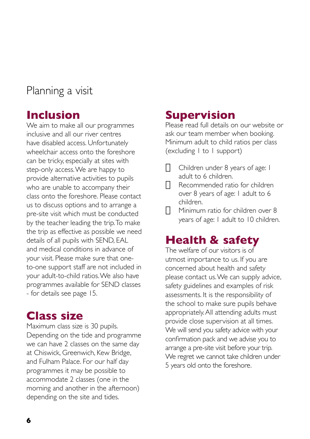# Planning a visit

### **Inclusion**

We aim to make all our programmes inclusive and all our river centres have disabled access. Unfortunately wheelchair access onto the foreshore can be tricky, especially at sites with step-only access. We are happy to provide alternative activities to pupils who are unable to accompany their class onto the foreshore. Please contact us to discuss options and to arrange a pre-site visit which must be conducted by the teacher leading the trip. To make the trip as effective as possible we need details of all pupils with SEND, EAL and medical conditions in advance of your visit. Please make sure that oneto-one support staff are not included in your adult-to-child ratios. We also have programmes available for SEND classes - for details see page 15.

### **Class size**

Maximum class size is 30 pupils. Depending on the tide and programme we can have 2 classes on the same day at Chiswick, Greenwich, Kew Bridge, and Fulham Palace. For our half day programmes it may be possible to accommodate 2 classes (one in the morning and another in the afternoon) depending on the site and tides.

### **Supervision**

Please read full details on our website or ask our team member when booking. Minimum adult to child ratios per class (excluding 1 to 1 support)

- $\Box$  Children under 8 years of age: 1 adult to 6 children.
- $\Pi$  Recommended ratio for children over 8 years of age: 1 adult to 6 children.
- $\Pi$  Minimum ratio for children over 8 years of age: 1 adult to 10 children.

### **Health & safety**

The welfare of our visitors is of utmost importance to us. If you are concerned about health and safety please contact us. We can supply advice, safety guidelines and examples of risk assessments. It is the responsibility of the school to make sure pupils behave appropriately. All attending adults must provide close supervision at all times. We will send you safety advice with your confirmation pack and we advise you to arrange a pre-site visit before your trip. We regret we cannot take children under 5 years old onto the foreshore.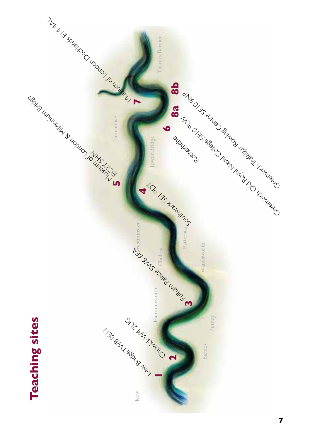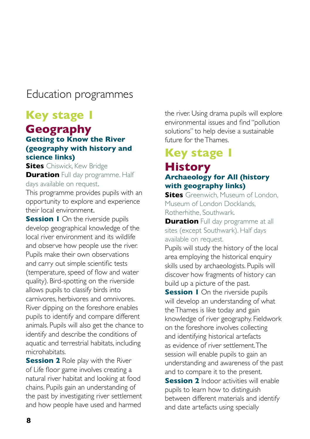### Education programmes

# **Key stage 1**

#### **Geography Getting to Know the River (geography with history and science links)**

**Sites** Chiswick, Kew Bridge **Duration** Full day programme. Half days available on request.

This programme provides pupils with an opportunity to explore and experience their local environment.

**Session I** On the riverside pupils develop geographical knowledge of the local river environment and its wildlife and observe how people use the river. Pupils make their own observations and carry out simple scientific tests (temperature, speed of flow and water quality). Bird-spotting on the riverside allows pupils to classify birds into carnivores, herbivores and omnivores. River dipping on the foreshore enables pupils to identify and compare different animals. Pupils will also get the chance to identify and describe the conditions of aquatic and terrestrial habitats, including microhabitats.

**Session 2** Role play with the River of Life floor game involves creating a natural river habitat and looking at food chains. Pupils gain an understanding of the past by investigating river settlement and how people have used and harmed

the river. Using drama pupils will explore environmental issues and find "pollution solutions" to help devise a sustainable future for the Thames.

# **Key stage 1 History**

#### **Archaeology for All (history with geography links)**

**Sites** Greenwich, Museum of London, Museum of London Docklands Rotherhithe, Southwark.

**Duration** Full day programme at all sites (except Southwark). Half days available on request.

Pupils will study the history of the local area employing the historical enquiry skills used by archaeologists. Pupils will discover how fragments of history can build up a picture of the past.

**Session I** On the riverside pupils will develop an understanding of what the Thames is like today and gain knowledge of river geography. Fieldwork on the foreshore involves collecting and identifying historical artefacts as evidence of river settlement. The session will enable pupils to gain an understanding and awareness of the past and to compare it to the present.

**Session 2** Indoor activities will enable pupils to learn how to distinguish between different materials and identify and date artefacts using specially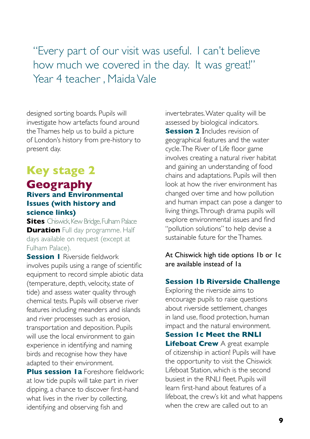"Every part of our visit was useful. I can't believe how much we covered in the day. It was great!" Year 4 teacher , Maida Vale

designed sorting boards. Pupils will investigate how artefacts found around the Thames help us to build a picture of London's history from pre-history to present day.

# **Key stage 2**

#### **Geography Rivers and Environmental Issues (with history and science links)**

**Sites** Chiswick, Kew Bridge, Fulham Palace **Duration** Full day programme. Half days available on request (except at Fulham Palace).

**Session I** Riverside fieldwork involves pupils using a range of scientific equipment to record simple abiotic data (temperature, depth, velocity, state of tide) and assess water quality through chemical tests. Pupils will observe river features including meanders and islands and river processes such as erosion, transportation and deposition. Pupils will use the local environment to gain experience in identifying and naming birds and recognise how they have adapted to their environment.

**Plus session 1a** Foreshore fieldwork: at low tide pupils will take part in river dipping, a chance to discover first-hand what lives in the river by collecting, identifying and observing fish and

invertebrates. Water quality will be assessed by biological indicators. **Session 2** Includes revision of geographical features and the water cycle. The River of Life floor game involves creating a natural river habitat and gaining an understanding of food chains and adaptations. Pupils will then look at how the river environment has changed over time and how pollution and human impact can pose a danger to living things. Through drama pupils will explore environmental issues and find "pollution solutions" to help devise a sustainable future for the Thames.

At Chiswick high tide options 1b or 1c are available instead of 1a

#### **Session 1b Riverside Challenge**

Exploring the riverside aims to encourage pupils to raise questions about riverside settlement, changes in land use, flood protection, human impact and the natural environment.

**Session 1c Meet the RNLI Lifeboat Crew** A great example of citizenship in action! Pupils will have the opportunity to visit the Chiswick Lifeboat Station, which is the second busiest in the RNLI fleet. Pupils will learn first-hand about features of a lifeboat, the crew's kit and what happens when the crew are called out to an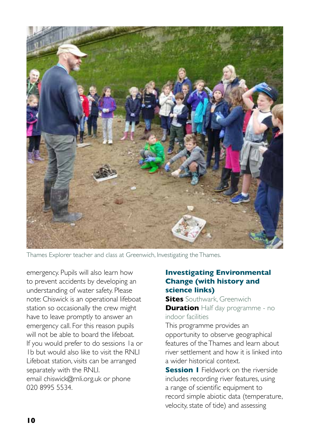

Thames Explorer teacher and class at Greenwich, Investigating the Thames.

emergency. Pupils will also learn how to prevent accidents by developing an understanding of water safety. Please note: Chiswick is an operational lifeboat station so occasionally the crew might have to leave promptly to answer an emergency call. For this reason pupils will not be able to board the lifeboat. If you would prefer to do sessions 1a or 1b but would also like to visit the RNLI Lifeboat station, visits can be arranged separately with the RNLI. email chiswick@rnli.org.uk or phone 020 8995 5534.

#### **Investigating Environmental Change (with history and science links)**

**Sites** Southwark, Greenwich **Duration** Half day programme - no indoor facilities

This programme provides an opportunity to observe geographical features of the Thames and learn about river settlement and how it is linked into a wider historical context.

**Session I** Fieldwork on the riverside includes recording river features, using a range of scientific equipment to record simple abiotic data (temperature, velocity, state of tide) and assessing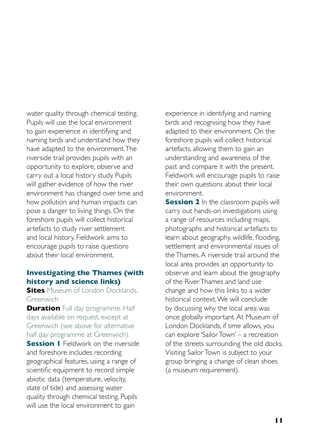water quality through chemical testing. Pupils will use the local environment to gain experience in identifying and naming birds and understand how they have adapted to the environment. The riverside trail provides pupils with an opportunity to explore, observe and carry out a local history study. Pupils will gather evidence of how the river environment has changed over time and how pollution and human impacts can pose a danger to living things. On the foreshore pupils will collect historical artefacts to study river settlement and local history. Fieldwork aims to encourage pupils to raise questions about their local environment.

#### **Investigating the Thames (with history and science links)**

**Sites** Museum of London Docklands, Greenwich

**Duration** Full day programme. Half days available on request, except at Greenwich (see above for alternative half day programme at Greenwich).

**Session I** Fieldwork on the riverside and foreshore includes recording geographical features, using a range of scientific equipment to record simple abiotic data (temperature, velocity, state of tide) and assessing water quality through chemical testing. Pupils will use the local environment to gain

experience in identifying and naming birds and recognising how they have adapted to their environment. On the foreshore pupils will collect historical artefacts, allowing them to gain an understanding and awareness of the past and compare it with the present. Fieldwork will encourage pupils to raise their own questions about their local environment.

**Session 2** In the classroom pupils will carry out hands-on investigations using a range of resources including maps, photographs and historical artefacts to learn about geography, wildlife, flooding, settlement and environmental issues of the Thames. A riverside trail around the local area provides an opportunity to observe and learn about the geography of the River Thames and land use change and how this links to a wider historical context. We will conclude by discussing why the local area was once globally important. At Museum of London Docklands, if time allows, you can explore 'Sailor Town' – a recreation of the streets surrounding the old docks. Visiting Sailor Town is subject to your group bringing a change of clean shoes (a museum requirement).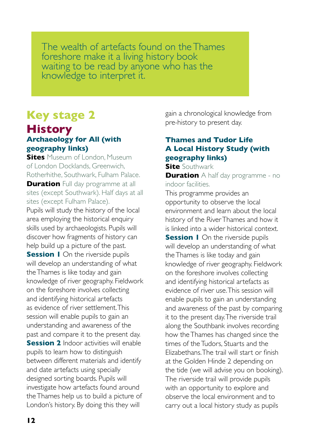The wealth of artefacts found on the Thames foreshore make it a living history book waiting to be read by anyone who has the knowledge to interpret it.

# **Key stage 2**

#### **History Archaeology for All (with geography links)**

**Sites** Museum of London, Museum of London Docklands, Greenwich, Rotherhithe, Southwark, Fulham Palace. **Duration** Full day programme at all sites (except Southwark). Half days at all sites (except Fulham Palace). Pupils will study the history of the local area employing the historical enquiry skills used by archaeologists. Pupils will discover how fragments of history can help build up a picture of the past. **Session 1** On the riverside pupils will develop an understanding of what the Thames is like today and gain knowledge of river geography. Fieldwork on the foreshore involves collecting and identifying historical artefacts as evidence of river settlement. This session will enable pupils to gain an understanding and awareness of the past and compare it to the present day. **Session 2** Indoor activities will enable pupils to learn how to distinguish between different materials and identify and date artefacts using specially designed sorting boards. Pupils will investigate how artefacts found around the Thames help us to build a picture of London's history. By doing this they will

gain a chronological knowledge from pre-history to present day.

#### **Thames and Tudor Life A Local History Study (with geography links)**

**Site** Southwark **Duration** A half day programme - no indoor facilities.

This programme provides an opportunity to observe the local environment and learn about the local history of the River Thames and how it is linked into a wider historical context. **Session I** On the riverside pupils will develop an understanding of what the Thames is like today and gain knowledge of river geography. Fieldwork on the foreshore involves collecting and identifying historical artefacts as evidence of river use. This session will enable pupils to gain an understanding and awareness of the past by comparing it to the present day. The riverside trail along the Southbank involves recording how the Thames has changed since the times of the Tudors, Stuarts and the Elizabethans. The trail will start or finish at the Golden Hinde 2 depending on the tide (we will advise you on booking). The riverside trail will provide pupils with an opportunity to explore and observe the local environment and to carry out a local history study as pupils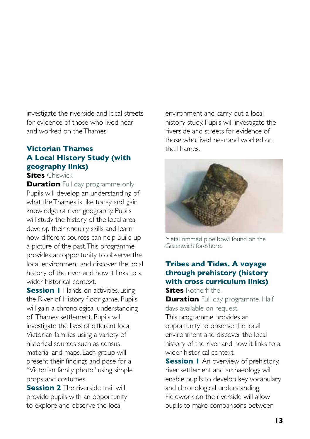investigate the riverside and local streets for evidence of those who lived near and worked on the Thames.

#### **Victorian Thames A Local History Study (with geography links)**

**Sites** Chiswick

**Duration** Full day programme only Pupils will develop an understanding of what the Thames is like today and gain knowledge of river geography. Pupils will study the history of the local area, develop their enquiry skills and learn how different sources can help build up a picture of the past. This programme provides an opportunity to observe the local environment and discover the local history of the river and how it links to a wider historical context.

**Session I** Hands-on activities, using the River of History floor game. Pupils will gain a chronological understanding of Thames settlement. Pupils will investigate the lives of different local Victorian families using a variety of historical sources such as census material and maps. Each group will present their findings and pose for a "Victorian family photo" using simple props and costumes.

**Session 2** The riverside trail will provide pupils with an opportunity to explore and observe the local

environment and carry out a local history study. Pupils will investigate the riverside and streets for evidence of those who lived near and worked on the Thames.



Metal rimmed pipe bowl found on the Greenwich foreshore.

#### **Tribes and Tides. A voyage through prehistory (history with cross curriculum links) Sites** Rotherhithe.

**Duration** Full day programme. Half days available on request.

This programme provides an opportunity to observe the local environment and discover the local history of the river and how it links to a wider historical context.

**Session I** An overview of prehistory, river settlement and archaeology will enable pupils to develop key vocabulary and chronological understanding. Fieldwork on the riverside will allow pupils to make comparisons between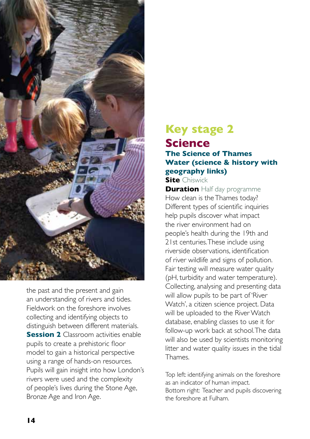

the past and the present and gain an understanding of rivers and tides. Fieldwork on the foreshore involves collecting and identifying objects to distinguish between different materials. **Session 2** Classroom activities enable pupils to create a prehistoric floor model to gain a historical perspective using a range of hands-on resources. Pupils will gain insight into how London's rivers were used and the complexity of people's lives during the Stone Age, Bronze Age and Iron Age.

### **Key stage 2 Science The Science of Thames Water (science & history with geography links)**

**Site** Chiswick

**Duration** Half day programme How clean is the Thames today? Different types of scientific inquiries help pupils discover what impact the river environment had on people's health during the 19th and 21st centuries. These include using riverside observations, identification of river wildlife and signs of pollution. Fair testing will measure water quality (pH, turbidity and water temperature). Collecting, analysing and presenting data will allow pupils to be part of 'River Watch', a citizen science project. Data will be uploaded to the River Watch database, enabling classes to use it for follow-up work back at school. The data will also be used by scientists monitoring litter and water quality issues in the tidal **Thames** 

Top left: identifying animals on the foreshore as an indicator of human impact. Bottom right: Teacher and pupils discovering the foreshore at Fulham.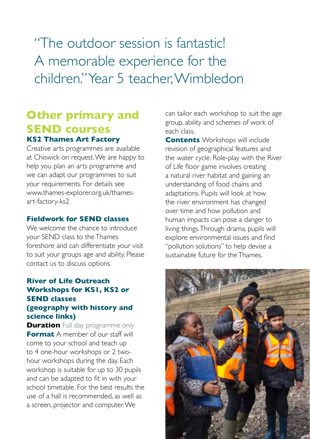"The outdoor session is fantastic! A memorable experience for the children." Year 5 teacher, Wimbledon

### **Other primary and SEND courses KS2 Thames Art Factory**

Creative arts programmes are available at Chiswick on request. We are happy to help you plan an arts programme and we can adapt our programmes to suit your requirements. For details see www.thames-explorer.org.uk/thamesart-factory-ks2

#### **Fieldwork for SEND classes**

We welcome the chance to introduce your SEND class to the Thames foreshore and can differentiate your visit to suit your groups age and ability. Please contact us to discuss options.

#### **River of Life Outreach Workshops for KS1, KS2 or SEND classes (geography with history and science links)**

**Duration** Full day programme only **Format** A member of our staff will come to your school and teach up to 4 one-hour workshops or 2 twohour workshops during the day. Each workshop is suitable for up to 30 pupils and can be adapted to fit in with your school timetable. For the best results the use of a hall is recommended, as well as a screen, projector and computer. We

can tailor each workshop to suit the age group, ability and schemes of work of each class.

**Contents** Workshops will include revision of geographical features and the water cycle. Role-play with the River of Life floor game involves creating a natural river habitat and gaining an understanding of food chains and adaptations. Pupils will look at how the river environment has changed over time and how pollution and human impacts can pose a danger to living things. Through drama, pupils will explore environmental issues and find "pollution solutions" to help devise a sustainable future for the Thames.

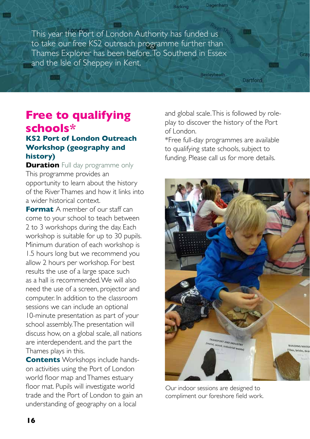This year the Port of London Authority has funded us to take our free KS2 outreach programme further than Thames Explorer has been before. To Southend in Essex and the Isle of Sheppey in Kent.

### **Free to qualifying schools\***

**All Street** 

#### **KS2 Port of London Outreach Workshop (geography and history)**

**Duration** Full day programme only This programme provides an opportunity to learn about the history of the River Thames and how it links into a wider historical context.

**Format** A member of our staff can come to your school to teach between 2 to 3 workshops during the day. Each workshop is suitable for up to 30 pupils. Minimum duration of each workshop is 1.5 hours long but we recommend you allow 2 hours per workshop. For best results the use of a large space such as a hall is recommended. We will also need the use of a screen, projector and computer. In addition to the classroom sessions we can include an optional 10-minute presentation as part of your school assembly. The presentation will discuss how, on a global scale, all nations are interdependent. and the part the Thames plays in this.

**Contents** Workshops include handson activities using the Port of London world floor map and Thames estuary floor mat. Pupils will investigate world trade and the Port of London to gain an understanding of geography on a local

and global scale. This is followed by roleplay to discover the history of the Port of London.

**Dartford** 

Gray

**Dagenham** 

**Bexleyheath** 

Barking

\*Free full-day programmes are available to qualifying state schools, subject to funding. Please call us for more details.



Our indoor sessions are designed to compliment our foreshore field work.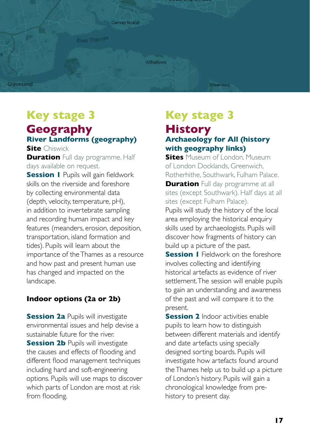

# **Key stage 3**

### **Geography River Landforms (geography)**

**Site** Chiswick **Duration** Full day programme. Half days available on request.

**Session I** Pupils will gain fieldwork skills on the riverside and foreshore by collecting environmental data (depth, velocity, temperature, pH), in addition to invertebrate sampling and recording human impact and key features (meanders, erosion, deposition, transportation, island formation and tides). Pupils will learn about the importance of the Thames as a resource and how past and present human use has changed and impacted on the landscape.

#### **Indoor options (2a or 2b)**

**Session 2a** Pupils will investigate environmental issues and help devise a sustainable future for the river. **Session 2b Pupils will investigate** the causes and effects of flooding and different flood management techniques including hard and soft-engineering options. Pupils will use maps to discover which parts of London are most at risk from flooding.

### **Key stage 3 History Archaeology for All (history with geography links)**

**Sites** Museum of London, Museum of London Docklands, Greenwich, Rotherhithe, Southwark, Fulham Palace. **Duration** Full day programme at all sites (except Southwark). Half days at all sites (except Fulham Palace). Pupils will study the history of the local area employing the historical enquiry skills used by archaeologists. Pupils will discover how fragments of history can build up a picture of the past. **Session I** Fieldwork on the foreshore involves collecting and identifying

historical artefacts as evidence of river settlement. The session will enable pupils to gain an understanding and awareness of the past and will compare it to the present.

**Session 2** Indoor activities enable pupils to learn how to distinguish between different materials and identify and date artefacts using specially designed sorting boards. Pupils will investigate how artefacts found around the Thames help us to build up a picture of London's history. Pupils will gain a chronological knowledge from prehistory to present day.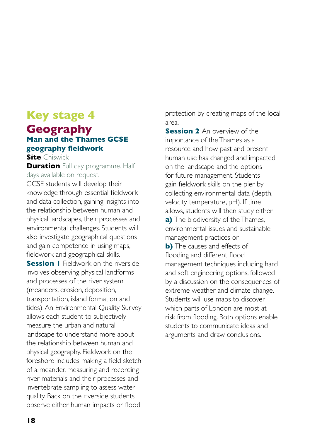# **Key stage 4 Geography**

#### **Man and the Thames GCSE geography fieldwork**

**Site** Chiswick

**Duration** Full day programme. Half days available on request. GCSE students will develop their knowledge through essential fieldwork and data collection, gaining insights into the relationship between human and physical landscapes, their processes and environmental challenges. Students will also investigate geographical questions and gain competence in using maps, fieldwork and geographical skills. **Session I** Fieldwork on the riverside involves observing physical landforms and processes of the river system (meanders, erosion, deposition, transportation, island formation and tides). An Environmental Quality Survey allows each student to subjectively measure the urban and natural landscape to understand more about the relationship between human and physical geography. Fieldwork on the foreshore includes making a field sketch of a meander, measuring and recording river materials and their processes and invertebrate sampling to assess water quality. Back on the riverside students observe either human impacts or flood

protection by creating maps of the local area.

**Session 2** An overview of the importance of the Thames as a resource and how past and present human use has changed and impacted on the landscape and the options for future management. Students gain fieldwork skills on the pier by collecting environmental data (depth, velocity, temperature, pH). If time allows, students will then study either **a)** The biodiversity of the Thames, environmental issues and sustainable management practices or **b)** The causes and effects of flooding and different flood management techniques including hard and soft engineering options, followed by a discussion on the consequences of extreme weather and climate change. Students will use maps to discover which parts of London are most at risk from flooding. Both options enable students to communicate ideas and arguments and draw conclusions.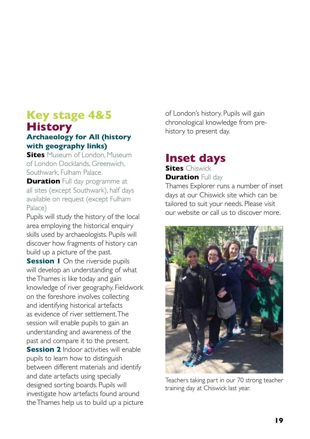### **Key stage 4&5 History**

#### **Archaeology for All (history with geography links)**

**Sites** Museum of London, Museum of London Docklands, Greenwich, Southwark, Fulham Palace.

**Duration** Full day programme at all sites (except Southwark), half days available on request (except Fulham Palace)

Pupils will study the history of the local area employing the historical enquiry skills used by archaeologists. Pupils will discover how fragments of history can build up a picture of the past.

**Session I** On the riverside pupils will develop an understanding of what the Thames is like today and gain knowledge of river geography. Fieldwork on the foreshore involves collecting and identifying historical artefacts as evidence of river settlement. The session will enable pupils to gain an understanding and awareness of the past and compare it to the present. **Session 2** Indoor activities will enable pupils to learn how to distinguish between different materials and identify and date artefacts using specially designed sorting boards. Pupils will investigate how artefacts found around the Thames help us to build up a picture of London's history. Pupils will gain chronological knowledge from prehistory to present day.

#### **Inset days Sites** Chiswick

**Duration** Full day

Thames Explorer runs a number of inset days at our Chiswick site which can be tailored to suit your needs. Please visit our website or call us to discover more.



Teachers taking part in our 70 strong teacher training day at Chiswick last year.